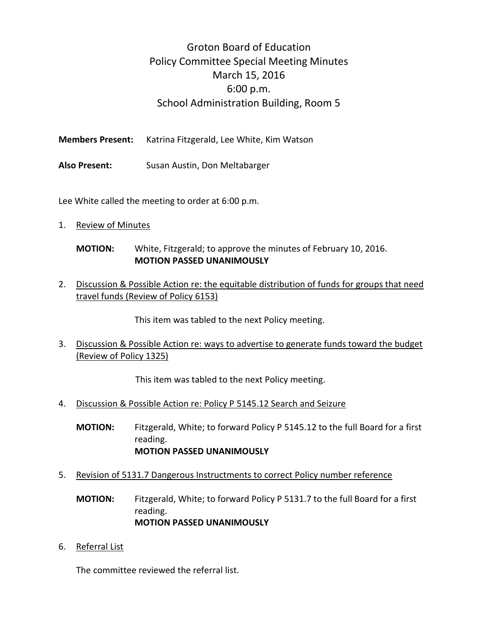## Groton Board of Education Policy Committee Special Meeting Minutes March 15, 2016 6:00 p.m. School Administration Building, Room 5

**Members Present:** Katrina Fitzgerald, Lee White, Kim Watson

**Also Present:** Susan Austin, Don Meltabarger

Lee White called the meeting to order at 6:00 p.m.

1. Review of Minutes

## **MOTION:** White, Fitzgerald; to approve the minutes of February 10, 2016. **MOTION PASSED UNANIMOUSLY**

2. Discussion & Possible Action re: the equitable distribution of funds for groups that need travel funds (Review of Policy 6153)

This item was tabled to the next Policy meeting.

3. Discussion & Possible Action re: ways to advertise to generate funds toward the budget (Review of Policy 1325)

This item was tabled to the next Policy meeting.

4. Discussion & Possible Action re: Policy P 5145.12 Search and Seizure

**MOTION:** Fitzgerald, White; to forward Policy P 5145.12 to the full Board for a first reading. **MOTION PASSED UNANIMOUSLY**

5. Revision of 5131.7 Dangerous Instructments to correct Policy number reference

**MOTION:** Fitzgerald, White; to forward Policy P 5131.7 to the full Board for a first reading. **MOTION PASSED UNANIMOUSLY**

6. Referral List

The committee reviewed the referral list.